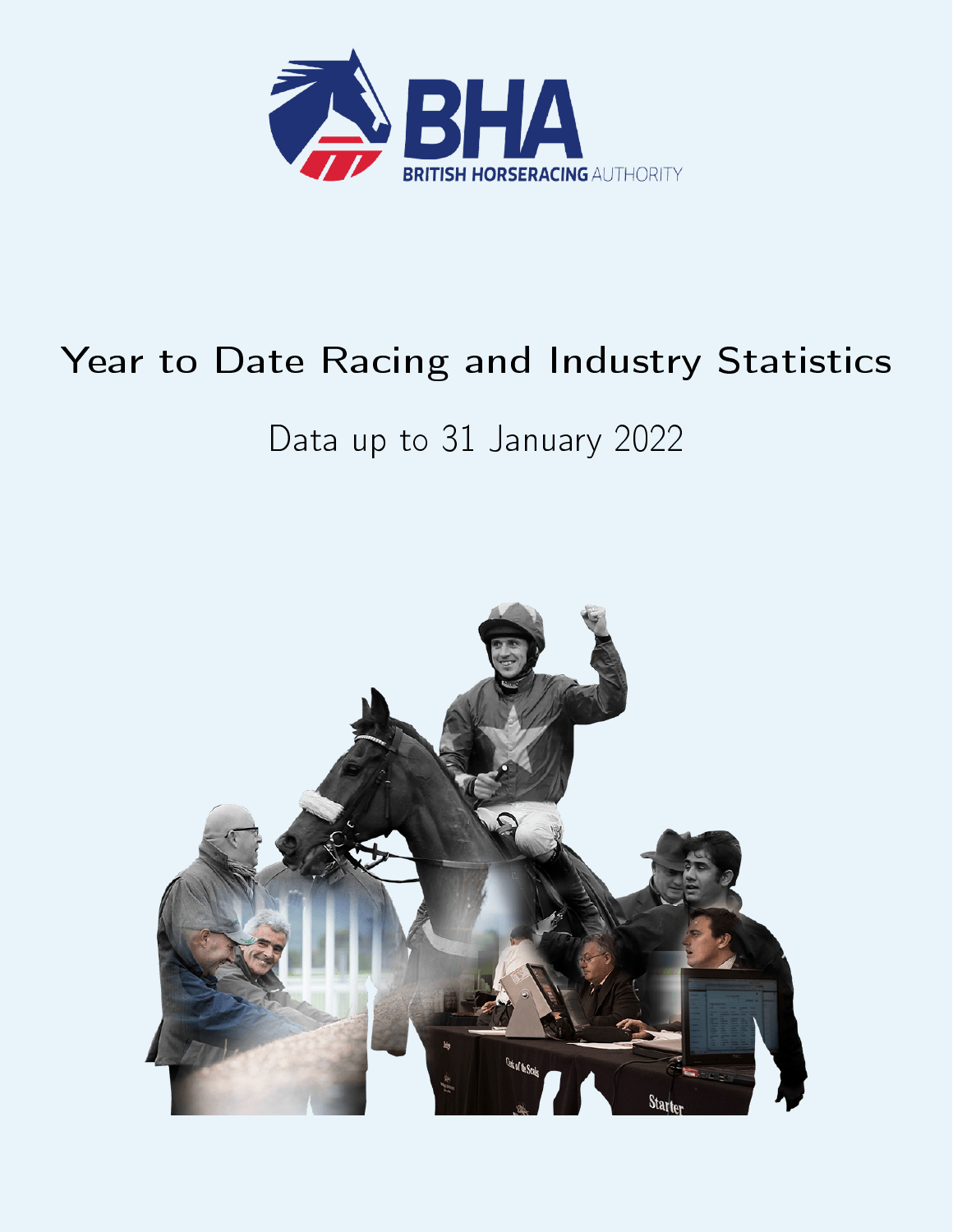

# Year to Date Racing and Industry Statistics

# Data up to 31 January 2022

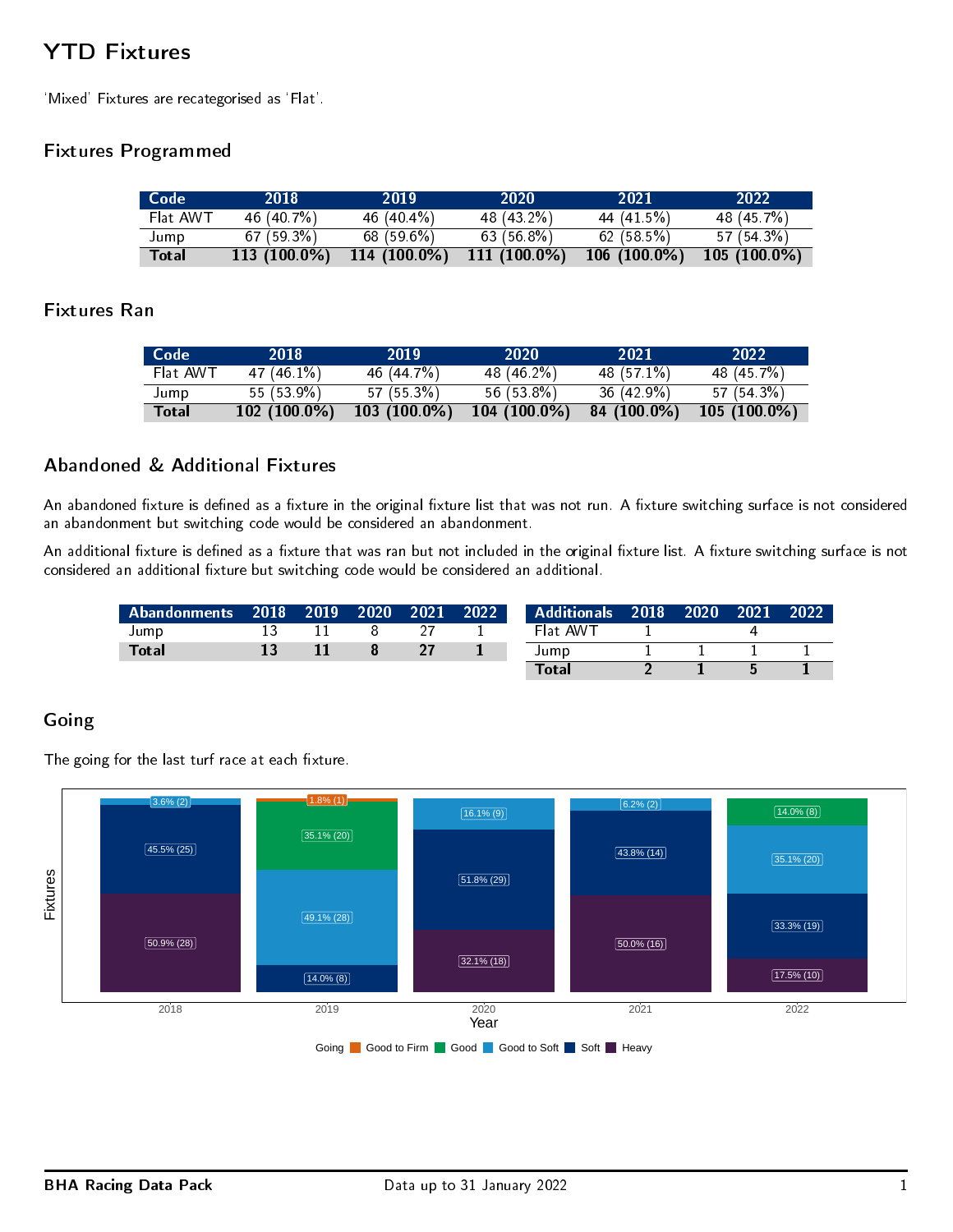# YTD Fixtures

`Mixed' Fixtures are recategorised as `Flat'.

### Fixtures Programmed

| Code     | 2018         | 2019           | 2020           | 2021           | 2022           |
|----------|--------------|----------------|----------------|----------------|----------------|
| Flat AWT | 46 (40 7%)   | 46 $(40.4\%)$  | 48 (43.2%)     | 44 (41 5%)     | 48 (45 7%)     |
| Jump     | 67(593%)     | 68(596%)       | 63(568%)       | 62(585%)       | 57 (54.3%)     |
| Total    | 113 (100.0%) | $114(100.0\%)$ | $111(100.0\%)$ | $106(100.0\%)$ | $105(100.0\%)$ |

#### Fixtures Ran

| Code         | 2018           | 2019           | 2020           | 2021          | 2022           |
|--------------|----------------|----------------|----------------|---------------|----------------|
| Flat AWT     | 47 (46 1 %)    | 46 (44 7%)     | 48 (46.2%)     | 48 (57.1%)    | 48 (45 7%)     |
| Jump         | 55 (53.9%)     | 57(553%)       | $56(538\%)$    | $36(42.9\%)$  | $57(543\%)$    |
| <b>Total</b> | $102(100.0\%)$ | $103(100.0\%)$ | $104(100.0\%)$ | $84(100.0\%)$ | $105(100.0\%)$ |

### Abandoned & Additional Fixtures

An abandoned fixture is defined as a fixture in the original fixture list that was not run. A fixture switching surface is not considered an abandonment but switching code would be considered an abandonment.

An additional fixture is defined as a fixture that was ran but not included in the original fixture list. A fixture switching surface is not considered an additional fixture but switching code would be considered an additional.

| Abandonments 2018 2019 |  | $-2020$ | $12021$ 2022 | <b>Additionals 2018 2020</b> |  | $\blacksquare$ 2021 | 2022 |
|------------------------|--|---------|--------------|------------------------------|--|---------------------|------|
| Jump                   |  |         |              | Flat AWT                     |  |                     |      |
| <b>Total</b>           |  |         |              | Jump                         |  |                     |      |
|                        |  |         |              | Total                        |  |                     |      |

### Going

The going for the last turf race at each fixture.

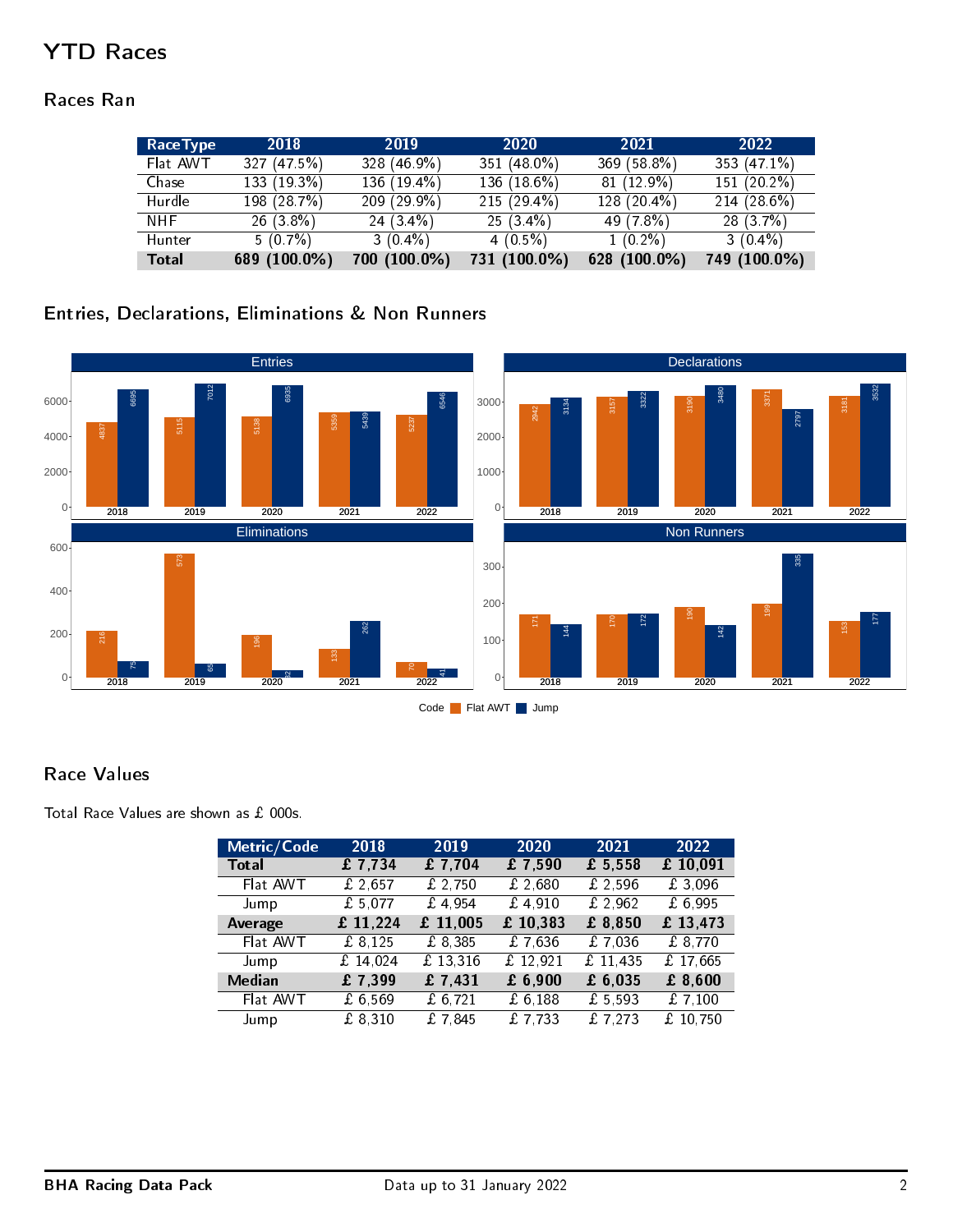# YTD Races

### Races Ran

| <b>RaceType</b> | 2018         | 2019         | 2020          | 2021         | 2022         |
|-----------------|--------------|--------------|---------------|--------------|--------------|
| Flat AWT        | 327(475%)    | 328 (46.9%)  | 351 (48.0%)   | 369 (58.8%)  | 353 (47.1%)  |
| Chase           | 133 (19.3%)  | 136 (19.4%)  | 136 (18.6%)   | 81 (12.9%)   | 151 (20 2%)  |
| Hurdle          | 198 (28 7%)  | 209(299%)    | $215(29.4\%)$ | 128 (20.4%)  | 214(286%)    |
| NHF.            | $26(3.8\%)$  | $24(3.4\%)$  | $25(3.4\%)$   | 49 (7.8%)    | 28(3.7%)     |
| Hunter          | $5(0.7\%)$   | $3(0.4\%)$   | $4(0.5\%)$    | $1(0.2\%)$   | $3(0.4\%)$   |
| <b>Total</b>    | 689 (100.0%) | 700 (100.0%) | 731 (100.0%)  | 628 (100.0%) | 749 (100.0%) |

### Entries, Declarations, Eliminations & Non Runners



### Race Values

Total Race Values are shown as  $£$  000s.

| Metric/Code   | 2018     | $20\overline{19}$ | 2020     | 2021                 | 2022      |
|---------------|----------|-------------------|----------|----------------------|-----------|
| <b>Total</b>  | £7,734   | £7,704            | £7,590   | £ 5,558              | £10,091   |
| Flat AWT      | £ 2,657  | £ $2,750$         | £2,680   | £2,596               | £3,096    |
| Jump          | £ 5,077  | £4.954            | £4.910   | £ 2,962              | £ 6,995   |
| Average       | £ 11,224 | £ 11,005          | £ 10,383 | £ 8,850              | £ 13,473  |
| Flat AWT      | £ 8,125  | £ 8,385           | £7,636   | £7,036               | £ 8,770   |
| Jump          | £ 14.024 | £ 13,316          | f12.921  | f11,435              | £ 17,665  |
| <b>Median</b> | £7,399   | f7,431            | £ 6,900  | £ 6,035              | £ 8,600   |
| Flat AWT      | £6,569   | £ $6,721$         | £6,188   | £5,593               | £ $7,100$ |
| Jump          | £ 8,310  | £7845             | f7,733   | $\overline{£ 7,273}$ | £10,750   |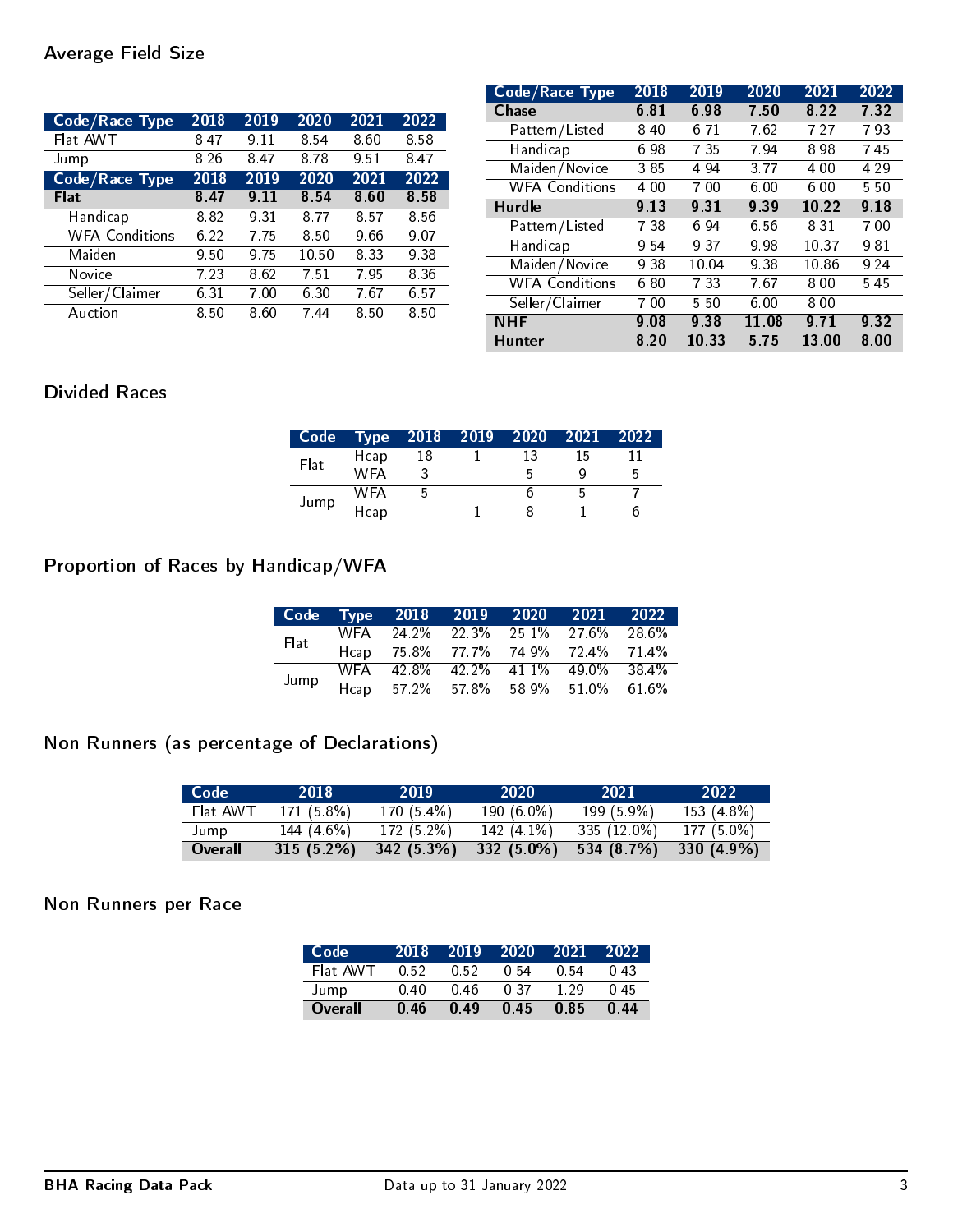| Code/Race Type        | 2018 | 2019  | 2020 | 2021 | 2022  |
|-----------------------|------|-------|------|------|-------|
| Flat AWT              | 8.47 | 9.11  | 8.54 | 8.60 | 8.58  |
| Jump                  | 8.26 | 8.47  | 8.78 | 9.51 | 847   |
| <b>Code/Race Type</b> | 2018 | 2019  | 2020 | 2021 | 2022  |
| Flat                  | 8.47 | 9 1 1 | 8.54 | 8.60 | 8 5 8 |
| Handicap              | 8.82 | 9.31  | 8 77 | 8.57 | 856   |
| <b>WFA Conditions</b> | 6.22 | 7 75  | 8.50 | 9.66 | 9.07  |
| Maiden                | 9.50 | 9.75  | 1050 | 8.33 | 938   |
| Novice                | 7.23 | 8.62  | 7.51 | 7.95 | 8.36  |
| Seller/Claimer        | 6 31 | 7.00  | 6.30 | 7.67 | 657   |
| Auction               | 8.50 | 8.60  | 744  | 8.50 | 850   |

| Code/Race Type        | 2018 | 2019  | 2020  | 2021  | 2022 |
|-----------------------|------|-------|-------|-------|------|
| <b>Chase</b>          | 6.81 | 6.98  | 7.50  | 8.22  | 7.32 |
| Pattern/Listed        | 8.40 | 6.71  | 7.62  | 7 27  | 793  |
| Handicap              | 698  | 735   | 794   | 8.98  | 745  |
| Maiden/Novice         | 3.85 | 4.94  | 3.77  | 4.00  | 4.29 |
| <b>WFA Conditions</b> | 4.00 | 7.00  | 6.00  | 6.00  | 5.50 |
| <b>Hurdle</b>         | 9.13 | 931   | 9.39  | 10.22 | 9.18 |
| Pattern/Listed        | 7.38 | 6.94  | 6.56  | 8.31  | 7.00 |
| Handicap              | 9.54 | 937   | 9.98  | 10.37 | 9.81 |
| Maiden/Novice         | 9.38 | 10.04 | 9.38  | 10.86 | 9.24 |
| <b>WFA Conditions</b> | 6.80 | 7.33  | 767   | 8.00  | 545  |
| Seller/Claimer        | 7.00 | 550   | 6.00  | 8.00  |      |
| NHF                   | 9.08 | 9.38  | 11.08 | 9.71  | 9.32 |
| <b>Hunter</b>         | 8.20 | 10.33 | 5.75  | 13.00 | 8.00 |

# Divided Races

| Code |      |    | $T$ ype 2018 2019 | 2020 | 2021 | 2022 |
|------|------|----|-------------------|------|------|------|
| Flat | Hcap | 18 |                   | 13   | 15   |      |
|      | WFA  |    |                   | г,   |      | 5    |
|      | WFA  |    |                   | n    |      |      |
| Jump | Hcap |    |                   |      |      | h    |

# Proportion of Races by Handicap/WFA

|      | Code Type 2018 2019 2020 2021 2022 |  |  |
|------|------------------------------------|--|--|
| Flat | WFA 24.2% 22.3% 25.1% 27.6% 28.6%  |  |  |
|      | Hcap 75.8% 77.7% 74.9% 72.4% 71.4% |  |  |
|      | WFA 42.8% 42.2% 41.1% 49.0% 38.4%  |  |  |
| Jump | Hcap 57.2% 57.8% 58.9% 51.0% 61.6% |  |  |

# Non Runners (as percentage of Declarations)

| Code     | 2018          | 2019         | 2020          | -2021         | 2022         |
|----------|---------------|--------------|---------------|---------------|--------------|
| Flat AWT | $171(5.8\%)$  | $170(54\%)$  | 190 $(6.0\%)$ | $199(5.9\%)$  | $153(4.8\%)$ |
| Jump     | 144 $(4.6\%)$ | $172(5.2\%)$ | $142(41\%)$   | $335(12.0\%)$ | $177(5.0\%)$ |
| Overall  | $315(5.2\%)$  | 342 (5.3%)   | $332(5.0\%)$  | 534 (8.7%)    | 330(4.9%)    |

# Non Runners per Race

| Code     | 2018 | 2019 | $-2020$     | 2021 | 2022 |
|----------|------|------|-------------|------|------|
| Flat AWT | 0.52 | 0.52 | <u>በ 54</u> | O 54 | O 43 |
| Jump     | በ 40 | በ 46 | 0.37        | 129  | O 45 |
| Overall  | በ 46 | O 49 | 0.45        | 0.85 | 0.44 |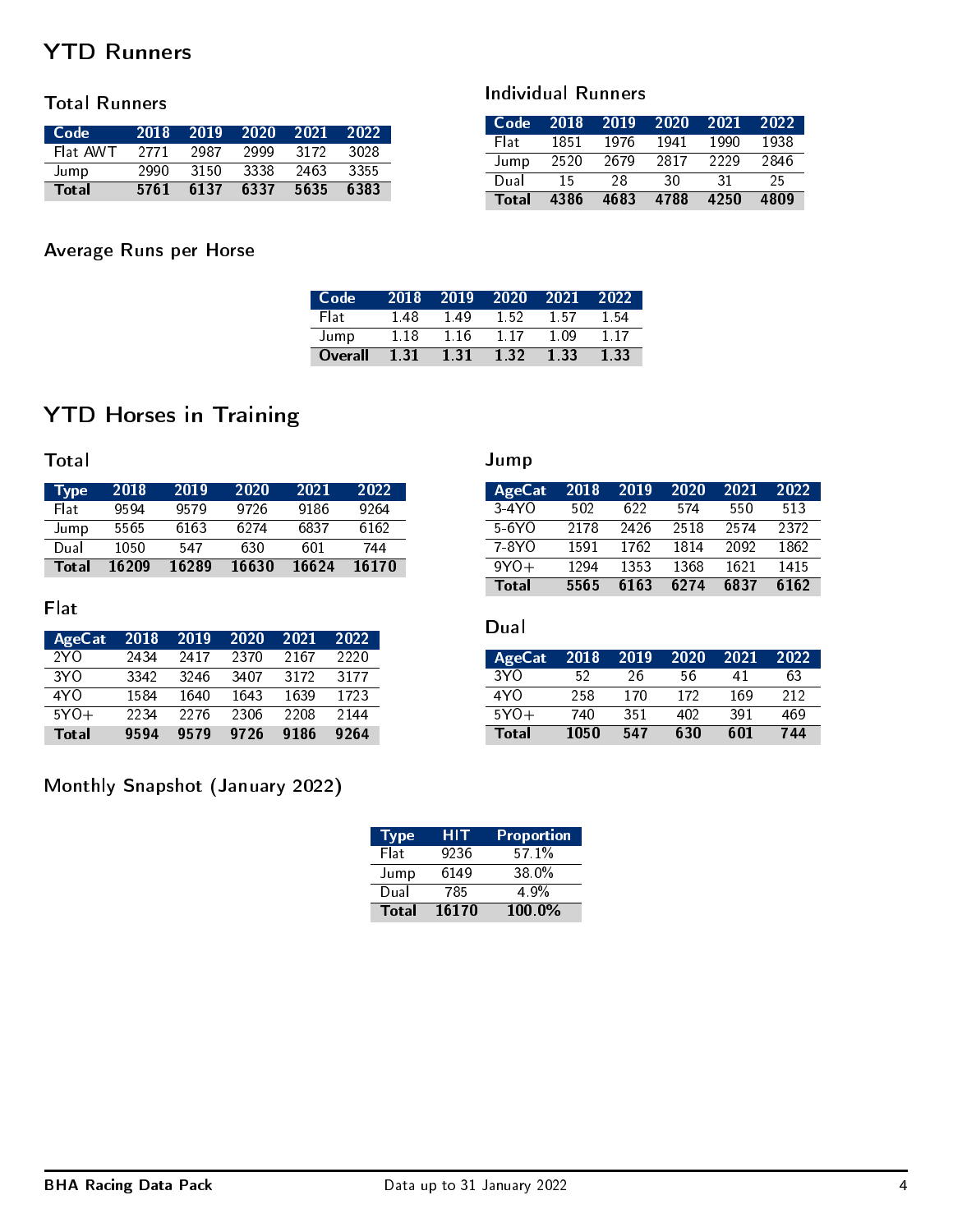# YTD Runners

### Total Runners

| - Code   | 2018 | 2019  | 2020 | -2021 | 2022 |
|----------|------|-------|------|-------|------|
| Flat AWT | 2771 | 2987  | 2999 | 3172  | 3028 |
| Jump     | 2990 | -3150 | 3338 | 2463  | 3355 |
| Total    | 5761 | 6137  | 6337 | 5635  | 6383 |

### Individual Runners

| Code  | 2018 | 2019 | 2020 | 2021 | 2022 |
|-------|------|------|------|------|------|
| Elat  | 1851 | 1976 | 1941 | 1990 | 1938 |
| Jump  | 2520 | 2679 | 2817 | 2229 | 2846 |
| Dual  | 15   | 28   | 30   | -31  | 25.  |
| Total | 4386 | 4683 | 4788 | 4250 | 4809 |

# Average Runs per Horse

| Code <sup>'</sup> | 2018 | 2019 | -2020 | 2021 | 2022 |
|-------------------|------|------|-------|------|------|
| Flati             | 148  | 149  | 1.52  | 157  | 154  |
| Jump              | 1.18 | 116  | 117   | 1.09 | 117  |
| Overall           | 131  | 1.31 | 1.32  | 1.33 | 1.33 |

# YTD Horses in Training

**Total** 

| $Type^{\prime}$ | 2018  | 2019  | 2020  | 2021  | 2022  |
|-----------------|-------|-------|-------|-------|-------|
| Flat:           | 9594  | 9579  | 9726  | 9186  | 9264  |
| Jump            | 5565  | 6163  | 6274  | 6837  | 6162  |
| Dual            | 1050  | 547   | 630   | 601   | 744   |
| Total           | 16209 | 16289 | 16630 | 16624 | 16170 |

### Flat

| AgeCat          | 2018 | 2019 | 2020 | 2021 | 2022 |
|-----------------|------|------|------|------|------|
| 2Y <sub>O</sub> | 2434 | 2417 | 2370 | 2167 | 2220 |
| 3Y O            | 3342 | 3246 | 3407 | 3172 | 3177 |
| 4Y O            | 1584 | 1640 | 1643 | 1639 | 1723 |
| $5YO+$          | 2234 | 2276 | 2306 | 2208 | 2144 |
| Total           | 9594 | 9579 | 9726 | 9186 | 9264 |

# Monthly Snapshot (January 2022)

| <b>Type</b>  | HIT   | Proportion        |
|--------------|-------|-------------------|
| Flat         | 9236  | 571%              |
| Jump         | 6149  | 38.0 <sup>%</sup> |
| Dual         | 785   | 4.9%              |
| <b>Total</b> | 16170 | 100.0%            |

### Jump

| AgeCat  | 2018 | 2019 | 2020 | 2021 | 2022 |
|---------|------|------|------|------|------|
| $3-4YO$ | 502  | 622. | 574  | 550  | 513  |
| 5-6YO   | 2178 | 2426 | 2518 | 2574 | 2372 |
| 7-8YO   | 1591 | 1762 | 1814 | 2092 | 1862 |
| $9Y0+$  | 1294 | 1353 | 1368 | 1621 | 1415 |
| Total   | 5565 | 6163 | 6274 | 6837 | 6162 |

### Dual

| <b>AgeCat</b>   | 2018 | 2019 | 2020 | 2021 | 2022 |
|-----------------|------|------|------|------|------|
| 3Y <sub>0</sub> | 52   | 26   | 56   | 41   | 63   |
| 4Y O            | 258  | 170  | 172  | 169  | 212  |
| $5Y0+$          | 740  | 351  | 402  | 391  | 469  |
| Total           | 1050 | 547  | 630  | 601  | 744  |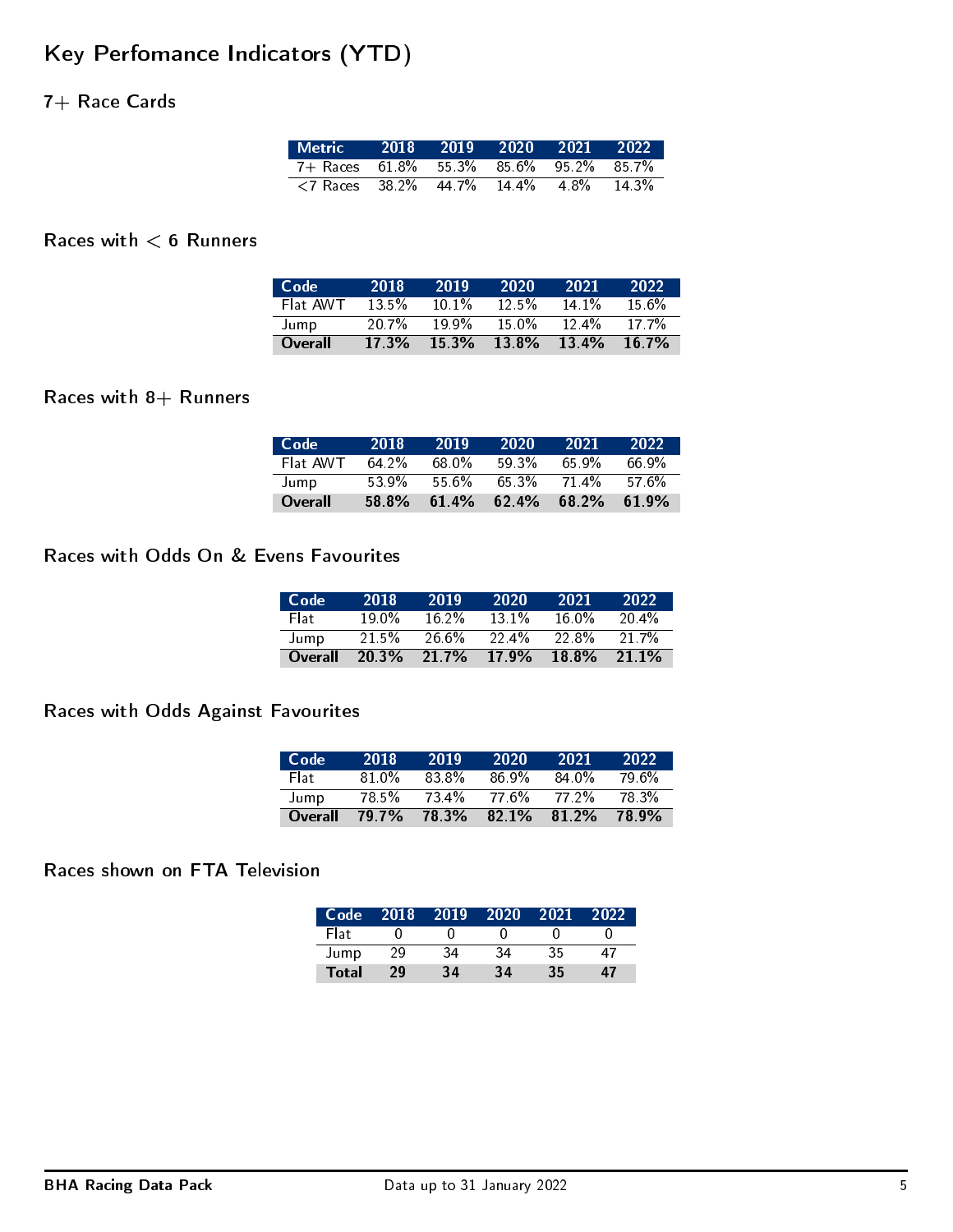# Key Perfomance Indicators (YTD)

## 7+ Race Cards

| Metric 2018 2019 2020 2021 2022،                                             |  |  |       |
|------------------------------------------------------------------------------|--|--|-------|
| 7+ Races 61.8% 55.3% 85.6% 95.2% 85.7%                                       |  |  |       |
| $\langle 7 \text{ Races} \quad 38.2\% \quad 44.7\% \quad 14.4\% \quad 4.8\%$ |  |  | 14.3% |

### Races with  $< 6$  Runners

| Code     | 2018     | 2019    | 2020     | 2021     | 2022     |
|----------|----------|---------|----------|----------|----------|
| Flat AWT | $13.5\%$ | $101\%$ | $12.5\%$ | $14.1\%$ | $15.6\%$ |
| Jump     | 20.7%    | 199%    | 15 በ%    | $12.4\%$ | 17.7%    |
| Overall  | 17.3%    | 15.3%   | $13.8\%$ | $13.4\%$ | 16.7%    |

### Races with  $8+$  Runners

| - Code   | 2018  | 2019  | 2020  | 2021  | 2022     |
|----------|-------|-------|-------|-------|----------|
| Flat AWT | 64.2% | 68.0% | 59.3% | 65.9% | 66 ዓ%    |
| Jump     | 53.9% | 55.6% | 65.3% | 714%  | .576%    |
| Overall  | 58.8% | 61.4% | 62.4% | 68.2% | $61.9\%$ |

#### Races with Odds On & Evens Favourites

| Code <sup>1</sup> | 2018     | 2019     | 2020    | 2021     | 2022  |
|-------------------|----------|----------|---------|----------|-------|
| Flat:             | 19.0%    | $16.2\%$ | $131\%$ | 16 በ%    | 20.4% |
| Jump              | $21.5\%$ | $26.6\%$ | 22.4%   | 22.8%    | 21.7% |
| Overall           | 20.3%    | $21.7\%$ | 17.9%   | $18.8\%$ | 21.1% |

### Races with Odds Against Favourites

| Code    | 2018  | 2019  | 2020  | 2021  | 2022. |
|---------|-------|-------|-------|-------|-------|
| Flat:   | 81 0% | 83.8% | 86.9% | 84.0% | 79.6% |
| Jump    | 78.5% | 73.4% | 77.6% | 77 2% | 78.3% |
| Overall | 79.7% | 78.3% | 82.1% | 812%  | 78.9% |

### Races shown on FTA Television

| Code         | 2018 | 2019 | 2020 | 2021 | 2022 |
|--------------|------|------|------|------|------|
| Flat         |      |      |      |      |      |
| Jump         | 29   | 34   | 34   | 35   | 47   |
| <b>Total</b> | 29   | 34   | 34   | 35   | 47   |